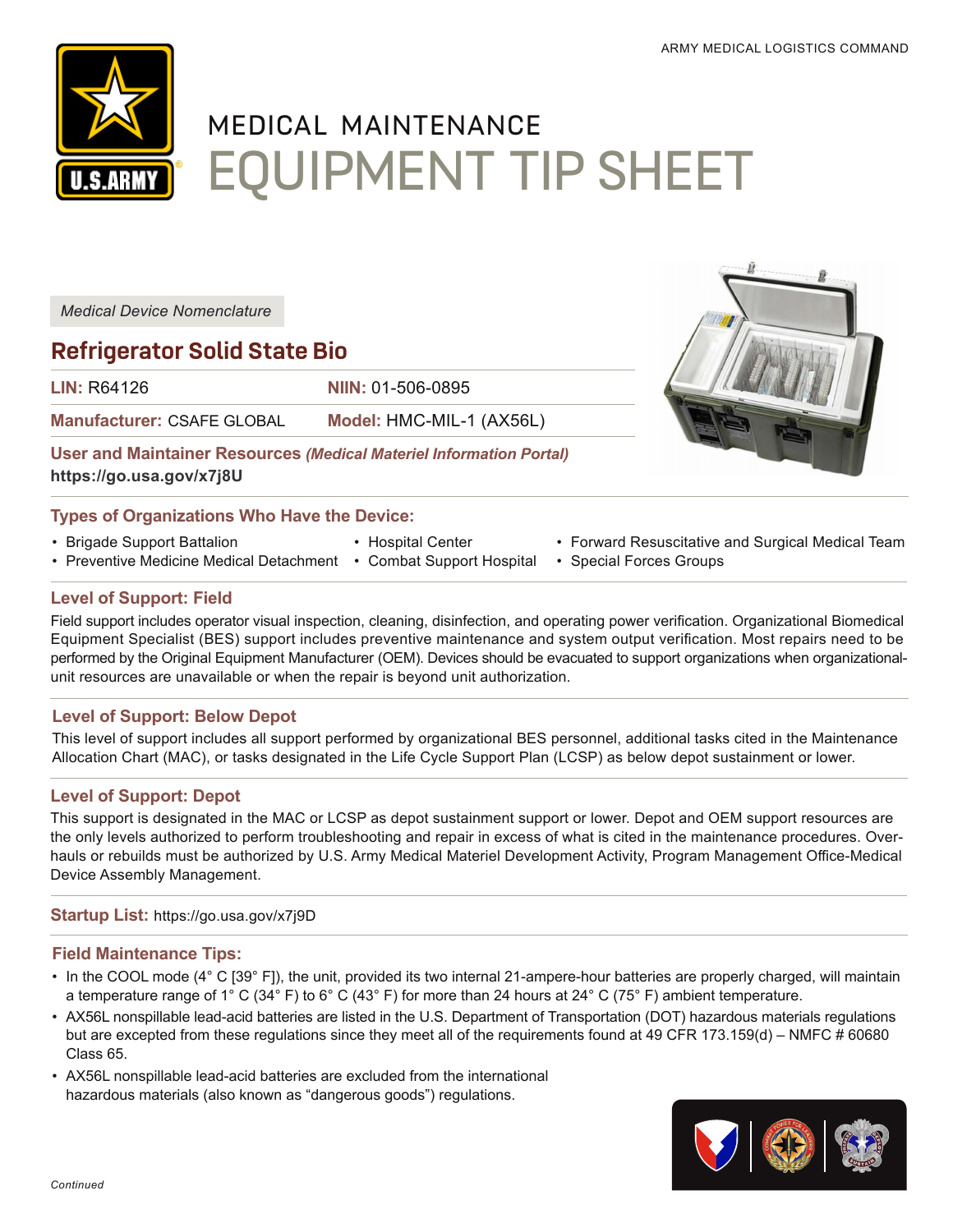

# MEDICAL MAINTENANCE EQUIPMENT TIP SHEET

*Medical Device Nomenclature*

# **Refrigerator Solid State Bio**

**LIN:** R64126 **NIIN:** 01-506-0895

**Manufacturer:** CSAFE GLOBAL **Model:** HMC-MIL-1 (AX56L)

**User and Maintainer Resources** *(Medical Materiel Information Portal)* **[https://go.usa.gov/x7j8U](https://a01.usamma.amedd.army.mil/mmip/Account/Login?ReturnUrl=%2Fmmip%2FCatalog%2FItem%2F015060895)**

# **Types of Organizations Who Have the Device:**

- Brigade Support Battalion
- Preventive Medicine Medical Detachment Combat Support Hospital
- Hospital Center
- 
- Forward Resuscitative and Surgical Medical Team
- Special Forces Groups

# **Level of Support: Field**

Field support includes operator visual inspection, cleaning, disinfection, and operating power verification. Organizational Biomedical Equipment Specialist (BES) support includes preventive maintenance and system output verification. Most repairs need to be performed by the Original Equipment Manufacturer (OEM). Devices should be evacuated to support organizations when organizationalunit resources are unavailable or when the repair is beyond unit authorization.

# **Level of Support: Below Depot**

This level of support includes all support performed by organizational BES personnel, additional tasks cited in the Maintenance Allocation Chart (MAC), or tasks designated in the Life Cycle Support Plan (LCSP) as below depot sustainment or lower.

# **Level of Support: Depot**

This support is designated in the MAC or LCSP as depot sustainment support or lower. Depot and OEM support resources are the only levels authorized to perform troubleshooting and repair in excess of what is cited in the maintenance procedures. Overhauls or rebuilds must be authorized by U.S. Army Medical Materiel Development Activity, Program Management Office-Medical Device Assembly Management.

#### **Startup List:** <https://go.usa.gov/x7j9D>

#### **Field Maintenance Tips:**

- In the COOL mode (4° C [39° F]), the unit, provided its two internal 21-ampere-hour batteries are properly charged, will maintain a temperature range of 1° C (34° F) to 6° C (43° F) for more than 24 hours at 24° C (75° F) ambient temperature.
- AX56L nonspillable lead-acid batteries are listed in the U.S. Department of Transportation (DOT) hazardous materials regulations but are excepted from these regulations since they meet all of the requirements found at 49 CFR 173.159(d) – NMFC # 60680 Class 65.
- AX56L nonspillable lead-acid batteries are excluded from the international hazardous materials (also known as "dangerous goods") regulations.